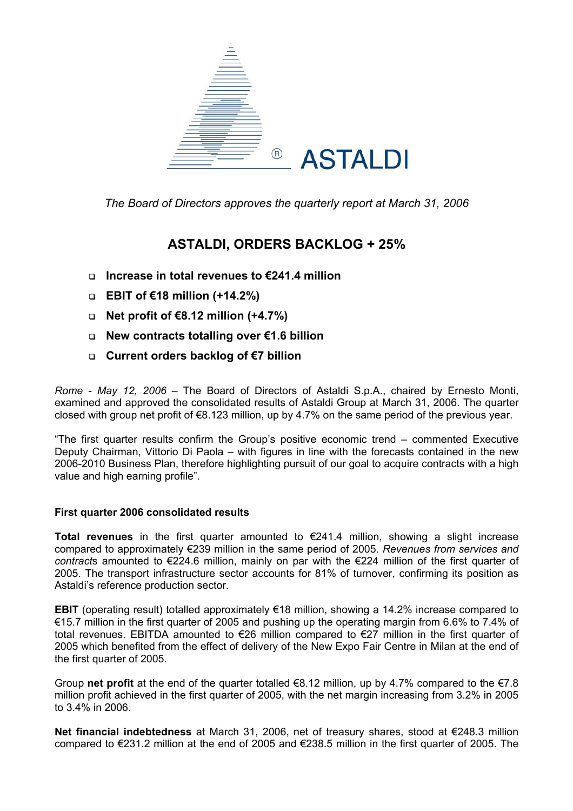

*The Board of Directors approves the quarterly report at March 31, 2006* 

# **ASTALDI, ORDERS BACKLOG + 25%**

- **Increase in total revenues to €241.4 million**
- **EBIT of €18 million (+14.2%)**
- **Net profit of €8.12 million (+4.7%)**
- **New contracts totalling over €1.6 billion**
- **Current orders backlog of €7 billion**

*Rome - May 12, 2006* – The Board of Directors of Astaldi S.p.A., chaired by Ernesto Monti, examined and approved the consolidated results of Astaldi Group at March 31, 2006. The quarter closed with group net profit of €8.123 million, up by 4.7% on the same period of the previous year.

"The first quarter results confirm the Group's positive economic trend – commented Executive Deputy Chairman, Vittorio Di Paola – with figures in line with the forecasts contained in the new 2006-2010 Business Plan, therefore highlighting pursuit of our goal to acquire contracts with a high value and high earning profile".

#### **First quarter 2006 consolidated results**

**Total revenues** in the first quarter amounted to €241.4 million, showing a slight increase compared to approximately €239 million in the same period of 2005. *Revenues from services and contract*s amounted to €224.6 million, mainly on par with the €224 million of the first quarter of 2005. The transport infrastructure sector accounts for 81% of turnover, confirming its position as Astaldi's reference production sector.

**EBIT** (operating result) totalled approximately €18 million, showing a 14.2% increase compared to €15.7 million in the first quarter of 2005 and pushing up the operating margin from 6.6% to 7.4% of total revenues. EBITDA amounted to €26 million compared to €27 million in the first quarter of 2005 which benefited from the effect of delivery of the New Expo Fair Centre in Milan at the end of the first quarter of 2005.

Group **net profit** at the end of the quarter totalled  $\epsilon$ 8.12 million, up by 4.7% compared to the  $\epsilon$ 7.8 million profit achieved in the first quarter of 2005, with the net margin increasing from 3.2% in 2005 to 3.4% in 2006.

**Net financial indebtedness** at March 31, 2006, net of treasury shares, stood at €248.3 million compared to €231.2 million at the end of 2005 and €238.5 million in the first quarter of 2005. The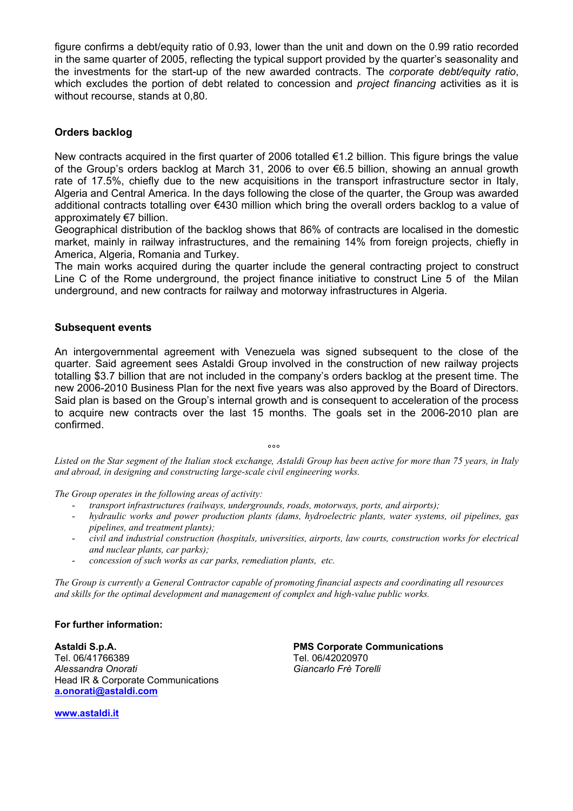figure confirms a debt/equity ratio of 0.93, lower than the unit and down on the 0.99 ratio recorded in the same quarter of 2005, reflecting the typical support provided by the quarter's seasonality and the investments for the start-up of the new awarded contracts. The *corporate debt/equity ratio*, which excludes the portion of debt related to concession and *project financing* activities as it is without recourse, stands at 0,80.

#### **Orders backlog**

New contracts acquired in the first quarter of 2006 totalled €1.2 billion. This figure brings the value of the Group's orders backlog at March 31, 2006 to over €6.5 billion, showing an annual growth rate of 17.5%, chiefly due to the new acquisitions in the transport infrastructure sector in Italy, Algeria and Central America. In the days following the close of the quarter, the Group was awarded additional contracts totalling over €430 million which bring the overall orders backlog to a value of approximately €7 billion.

Geographical distribution of the backlog shows that 86% of contracts are localised in the domestic market, mainly in railway infrastructures, and the remaining 14% from foreign projects, chiefly in America, Algeria, Romania and Turkey.

The main works acquired during the quarter include the general contracting project to construct Line C of the Rome underground, the project finance initiative to construct Line 5 of the Milan underground, and new contracts for railway and motorway infrastructures in Algeria.

#### **Subsequent events**

An intergovernmental agreement with Venezuela was signed subsequent to the close of the quarter. Said agreement sees Astaldi Group involved in the construction of new railway projects totalling \$3.7 billion that are not included in the company's orders backlog at the present time. The new 2006-2010 Business Plan for the next five years was also approved by the Board of Directors. Said plan is based on the Group's internal growth and is consequent to acceleration of the process to acquire new contracts over the last 15 months. The goals set in the 2006-2010 plan are confirmed.

ли в селото в селото в селото в селото в селото в селото в селото в селото в селото в селото в селото в селото<br>В селото в селото в селото в селото в селото в селото в селото в селото в селото в селото в селото в селото в<br>

*Listed on the Star segment of the Italian stock exchange, Astaldi Group has been active for more than 75 years, in Italy and abroad, in designing and constructing large-scale civil engineering works.* 

*The Group operates in the following areas of activity:* 

- *transport infrastructures (railways, undergrounds, roads, motorways, ports, and airports);*
- *hydraulic works and power production plants (dams, hydroelectric plants, water systems, oil pipelines, gas pipelines, and treatment plants);*
- *civil and industrial construction (hospitals, universities, airports, law courts, construction works for electrical and nuclear plants, car parks);*
- *concession of such works as car parks, remediation plants, etc.*

*The Group is currently a General Contractor capable of promoting financial aspects and coordinating all resources and skills for the optimal development and management of complex and high-value public works.* 

#### **For further information:**

**Astaldi S.p.A. PMS Corporate Communications**  Tel. 06/41766389 Tel. 06/42020970 *Alessandra Onorati Giancarlo Frè Torelli* Head IR & Corporate Communications **[a.onorati@astaldi.com](mailto:a.onorati@astaldi.com)**

**[www.astaldi.it](http://www.astaldi.it/)**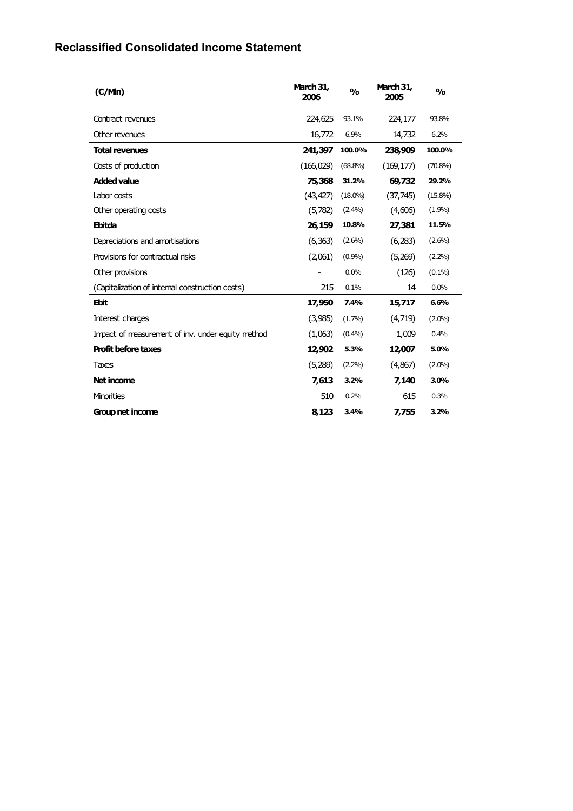### **Reclassified Consolidated Income Statement**

| (C/Mn)                                            | March 31,<br>2006 | $\frac{0}{0}$ | <b>March 31,</b><br>2005 | $\frac{0}{0}$ |
|---------------------------------------------------|-------------------|---------------|--------------------------|---------------|
| Contract revenues                                 | 224,625           | 93.1%         | 224,177                  | 93.8%         |
| Other revenues                                    | 16,772            | 6.9%          | 14,732                   | 6.2%          |
| <b>Total revenues</b>                             | 241,397           | 100.0%        | 238,909                  | 100.0%        |
| Costs of production                               | (166, 029)        | $(68.8\%)$    | (169, 177)               | $(70.8\%)$    |
| <b>Added value</b>                                | 75,368            | 31.2%         | 69,732                   | 29.2%         |
| Labor costs                                       | (43, 427)         | $(18.0\%)$    | (37,745)                 | $(15.8\%)$    |
| Other operating costs                             | (5,782)           | (2.4%)        | (4,606)                  | (1.9%)        |
| <b>Ebitda</b>                                     | 26,159            | 10.8%         | 27,381                   | 11.5%         |
| Depreciations and amortisations                   | (6, 363)          | $(2.6\%)$     | (6,283)                  | $(2.6\%)$     |
| Provisions for contractual risks                  | (2,061)           | (0.9%)        | (5,269)                  | (2.2%)        |
| Other provisions                                  |                   | 0.0%          | (126)                    | $(0.1\%)$     |
| (Capitalization of internal construction costs)   | 215               | 0.1%          | 14                       | 0.0%          |
| <b>Ebit</b>                                       | 17,950            | 7.4%          | 15,717                   | 6.6%          |
| Interest charges                                  | (3,985)           | (1.7%)        | (4,719)                  | $(2.0\%)$     |
| Impact of measurement of inv. under equity method | (1,063)           | (0.4%)        | 1,009                    | 0.4%          |
| <b>Profit before taxes</b>                        | 12,902            | 5.3%          | 12,007                   | 5.0%          |
| Taxes                                             | (5,289)           | $(2.2\%)$     | (4,867)                  | $(2.0\%)$     |
| Net income                                        | 7,613             | 3.2%          | 7,140                    | 3.0%          |
| <b>Minorities</b>                                 | 510               | 0.2%          | 615                      | 0.3%          |
| Group net income                                  | 8,123             | 3.4%          | 7,755                    | 3.2%          |